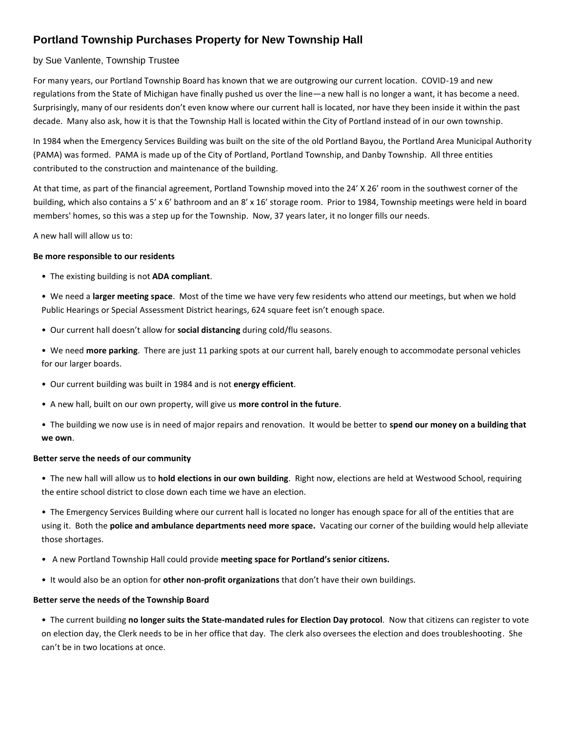# **Portland Township Purchases Property for New Township Hall**

# by Sue Vanlente, Township Trustee

For many years, our Portland Township Board has known that we are outgrowing our current location. COVID-19 and new regulations from the State of Michigan have finally pushed us over the line—a new hall is no longer a want, it has become a need. Surprisingly, many of our residents don't even know where our current hall is located, nor have they been inside it within the past decade. Many also ask, how it is that the Township Hall is located within the City of Portland instead of in our own township.

In 1984 when the Emergency Services Building was built on the site of the old Portland Bayou, the Portland Area Municipal Authority (PAMA) was formed. PAMA is made up of the City of Portland, Portland Township, and Danby Township. All three entities contributed to the construction and maintenance of the building.

At that time, as part of the financial agreement, Portland Township moved into the 24' X 26' room in the southwest corner of the building, which also contains a 5' x 6' bathroom and an 8' x 16' storage room. Prior to 1984, Township meetings were held in board members' homes, so this was a step up for the Township. Now, 37 years later, it no longer fills our needs.

A new hall will allow us to:

#### **Be more responsible to our residents**

• The existing building is not **ADA compliant**.

• We need a **larger meeting space**. Most of the time we have very few residents who attend our meetings, but when we hold Public Hearings or Special Assessment District hearings, 624 square feet isn't enough space.

• Our current hall doesn't allow for **social distancing** during cold/flu seasons.

• We need **more parking**. There are just 11 parking spots at our current hall, barely enough to accommodate personal vehicles for our larger boards.

- Our current building was built in 1984 and is not **energy efficient**.
- A new hall, built on our own property, will give us **more control in the future**.
- The building we now use is in need of major repairs and renovation. It would be better to **spend our money on a building that we own**.

## **Better serve the needs of our community**

• The new hall will allow us to **hold elections in our own building**. Right now, elections are held at Westwood School, requiring the entire school district to close down each time we have an election.

• The Emergency Services Building where our current hall is located no longer has enough space for all of the entities that are using it. Both the **police and ambulance departments need more space.** Vacating our corner of the building would help alleviate those shortages.

- A new Portland Township Hall could provide **meeting space for Portland's senior citizens.**
- It would also be an option for **other non-profit organizations** that don't have their own buildings.

## **Better serve the needs of the Township Board**

• The current building **no longer suits the State-mandated rules for Election Day protocol**. Now that citizens can register to vote on election day, the Clerk needs to be in her office that day. The clerk also oversees the election and does troubleshooting. She can't be in two locations at once.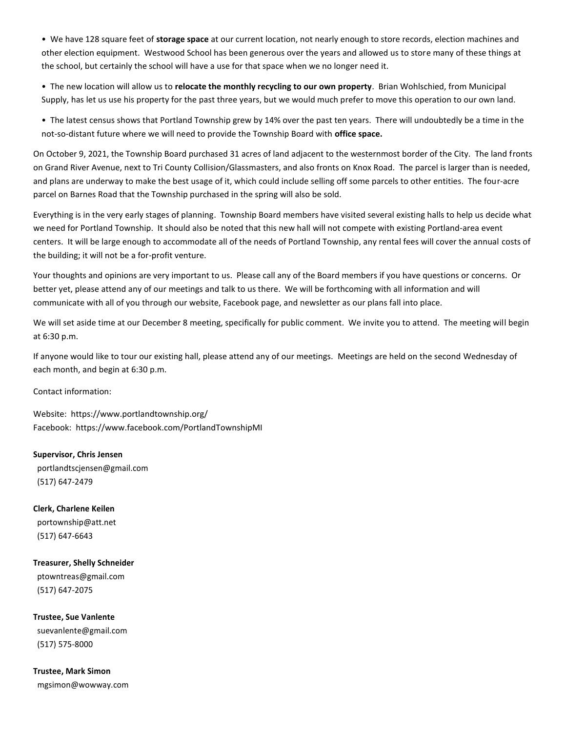• We have 128 square feet of **storage space** at our current location, not nearly enough to store records, election machines and other election equipment. Westwood School has been generous over the years and allowed us to store many of these things at the school, but certainly the school will have a use for that space when we no longer need it.

• The new location will allow us to **relocate the monthly recycling to our own property**. Brian Wohlschied, from Municipal Supply, has let us use his property for the past three years, but we would much prefer to move this operation to our own land.

• The latest census shows that Portland Township grew by 14% over the past ten years. There will undoubtedly be a time in the not-so-distant future where we will need to provide the Township Board with **office space.**

On October 9, 2021, the Township Board purchased 31 acres of land adjacent to the westernmost border of the City. The land fronts on Grand River Avenue, next to Tri County Collision/Glassmasters, and also fronts on Knox Road. The parcel is larger than is needed, and plans are underway to make the best usage of it, which could include selling off some parcels to other entities. The four-acre parcel on Barnes Road that the Township purchased in the spring will also be sold.

Everything is in the very early stages of planning. Township Board members have visited several existing halls to help us decide what we need for Portland Township. It should also be noted that this new hall will not compete with existing Portland-area event centers. It will be large enough to accommodate all of the needs of Portland Township, any rental fees will cover the annual costs of the building; it will not be a for-profit venture.

Your thoughts and opinions are very important to us. Please call any of the Board members if you have questions or concerns. Or better yet, please attend any of our meetings and talk to us there. We will be forthcoming with all information and will communicate with all of you through our website, Facebook page, and newsletter as our plans fall into place.

We will set aside time at our December 8 meeting, specifically for public comment. We invite you to attend. The meeting will begin at 6:30 p.m.

If anyone would like to tour our existing hall, please attend any of our meetings. Meetings are held on the second Wednesday of each month, and begin at 6:30 p.m.

Contact information:

Website: https://www.portlandtownship.org/ Facebook: https://www.facebook.com/PortlandTownshipMI

**Supervisor, Chris Jensen** portlandtscjensen@gmail.com (517) 647-2479

**Clerk, Charlene Keilen** portownship@att.net (517) 647-6643

**Treasurer, Shelly Schneider** ptowntreas@gmail.com (517) 647-2075

**Trustee, Sue Vanlente** suevanlente@gmail.com (517) 575-8000

**Trustee, Mark Simon** mgsimon@wowway.com